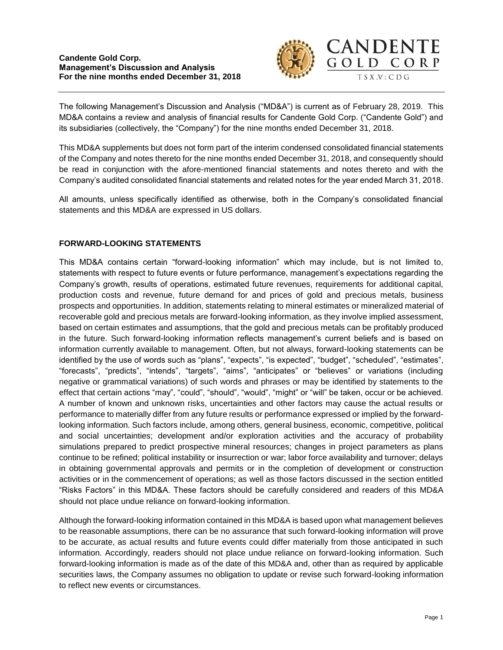

The following Management's Discussion and Analysis ("MD&A") is current as of February 28, 2019. This MD&A contains a review and analysis of financial results for Candente Gold Corp. ("Candente Gold") and its subsidiaries (collectively, the "Company") for the nine months ended December 31, 2018.

This MD&A supplements but does not form part of the interim condensed consolidated financial statements of the Company and notes thereto for the nine months ended December 31, 2018, and consequently should be read in conjunction with the afore-mentioned financial statements and notes thereto and with the Company's audited consolidated financial statements and related notes for the year ended March 31, 2018.

All amounts, unless specifically identified as otherwise, both in the Company's consolidated financial statements and this MD&A are expressed in US dollars.

# **FORWARD-LOOKING STATEMENTS**

This MD&A contains certain "forward-looking information" which may include, but is not limited to, statements with respect to future events or future performance, management's expectations regarding the Company's growth, results of operations, estimated future revenues, requirements for additional capital, production costs and revenue, future demand for and prices of gold and precious metals, business prospects and opportunities. In addition, statements relating to mineral estimates or mineralized material of recoverable gold and precious metals are forward-looking information, as they involve implied assessment, based on certain estimates and assumptions, that the gold and precious metals can be profitably produced in the future. Such forward-looking information reflects management's current beliefs and is based on information currently available to management. Often, but not always, forward-looking statements can be identified by the use of words such as "plans", "expects", "is expected", "budget", "scheduled", "estimates", "forecasts", "predicts", "intends", "targets", "aims", "anticipates" or "believes" or variations (including negative or grammatical variations) of such words and phrases or may be identified by statements to the effect that certain actions "may", "could", "should", "would", "might" or "will" be taken, occur or be achieved. A number of known and unknown risks, uncertainties and other factors may cause the actual results or performance to materially differ from any future results or performance expressed or implied by the forwardlooking information. Such factors include, among others, general business, economic, competitive, political and social uncertainties; development and/or exploration activities and the accuracy of probability simulations prepared to predict prospective mineral resources; changes in project parameters as plans continue to be refined; political instability or insurrection or war; labor force availability and turnover; delays in obtaining governmental approvals and permits or in the completion of development or construction activities or in the commencement of operations; as well as those factors discussed in the section entitled "Risks Factors" in this MD&A. These factors should be carefully considered and readers of this MD&A should not place undue reliance on forward-looking information.

Although the forward-looking information contained in this MD&A is based upon what management believes to be reasonable assumptions, there can be no assurance that such forward-looking information will prove to be accurate, as actual results and future events could differ materially from those anticipated in such information. Accordingly, readers should not place undue reliance on forward-looking information. Such forward-looking information is made as of the date of this MD&A and, other than as required by applicable securities laws, the Company assumes no obligation to update or revise such forward-looking information to reflect new events or circumstances.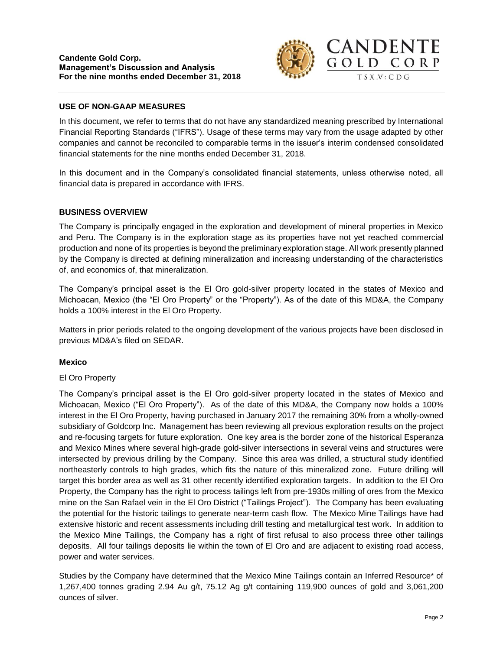

# **USE OF NON-GAAP MEASURES**

In this document, we refer to terms that do not have any standardized meaning prescribed by International Financial Reporting Standards ("IFRS"). Usage of these terms may vary from the usage adapted by other companies and cannot be reconciled to comparable terms in the issuer's interim condensed consolidated financial statements for the nine months ended December 31, 2018.

In this document and in the Company's consolidated financial statements, unless otherwise noted, all financial data is prepared in accordance with IFRS.

## **BUSINESS OVERVIEW**

The Company is principally engaged in the exploration and development of mineral properties in Mexico and Peru. The Company is in the exploration stage as its properties have not yet reached commercial production and none of its properties is beyond the preliminary exploration stage. All work presently planned by the Company is directed at defining mineralization and increasing understanding of the characteristics of, and economics of, that mineralization.

The Company's principal asset is the El Oro gold-silver property located in the states of Mexico and Michoacan, Mexico (the "El Oro Property" or the "Property"). As of the date of this MD&A, the Company holds a 100% interest in the El Oro Property.

Matters in prior periods related to the ongoing development of the various projects have been disclosed in previous MD&A's filed on SEDAR.

## **Mexico**

## El Oro Property

The Company's principal asset is the El Oro gold-silver property located in the states of Mexico and Michoacan, Mexico ("El Oro Property"). As of the date of this MD&A, the Company now holds a 100% interest in the El Oro Property, having purchased in January 2017 the remaining 30% from a wholly-owned subsidiary of Goldcorp Inc. Management has been reviewing all previous exploration results on the project and re-focusing targets for future exploration. One key area is the border zone of the historical Esperanza and Mexico Mines where several high-grade gold-silver intersections in several veins and structures were intersected by previous drilling by the Company. Since this area was drilled, a structural study identified northeasterly controls to high grades, which fits the nature of this mineralized zone. Future drilling will target this border area as well as 31 other recently identified exploration targets. In addition to the El Oro Property, the Company has the right to process tailings left from pre-1930s milling of ores from the Mexico mine on the San Rafael vein in the El Oro District ("Tailings Project"). The Company has been evaluating the potential for the historic tailings to generate near-term cash flow. The Mexico Mine Tailings have had extensive historic and recent assessments including drill testing and metallurgical test work. In addition to the Mexico Mine Tailings, the Company has a right of first refusal to also process three other tailings deposits. All four tailings deposits lie within the town of El Oro and are adjacent to existing road access, power and water services.

Studies by the Company have determined that the Mexico Mine Tailings contain an Inferred Resource\* of 1,267,400 tonnes grading 2.94 Au g/t, 75.12 Ag g/t containing 119,900 ounces of gold and 3,061,200 ounces of silver.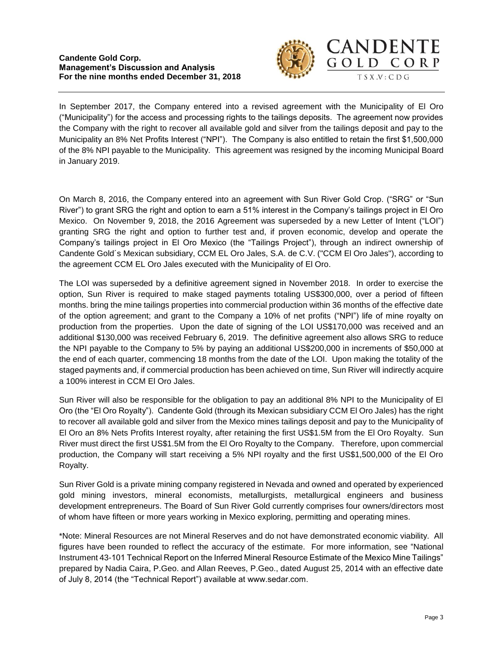#### **Candente Gold Corp. Management's Discussion and Analysis For the nine months ended December 31, 2018**



In September 2017, the Company entered into a revised agreement with the Municipality of El Oro ("Municipality") for the access and processing rights to the tailings deposits. The agreement now provides the Company with the right to recover all available gold and silver from the tailings deposit and pay to the Municipality an 8% Net Profits Interest ("NPI"). The Company is also entitled to retain the first \$1,500,000 of the 8% NPI payable to the Municipality. This agreement was resigned by the incoming Municipal Board in January 2019.

On March 8, 2016, the Company entered into an agreement with Sun River Gold Crop. ("SRG" or "Sun River") to grant SRG the right and option to earn a 51% interest in the Company's tailings project in El Oro Mexico. On November 9, 2018, the 2016 Agreement was superseded by a new Letter of Intent ("LOI") granting SRG the right and option to further test and, if proven economic, develop and operate the Company's tailings project in El Oro Mexico (the "Tailings Project"), through an indirect ownership of Candente Gold´s Mexican subsidiary, CCM EL Oro Jales, S.A. de C.V. ("CCM El Oro Jales"), according to the agreement CCM EL Oro Jales executed with the Municipality of El Oro.

The LOI was superseded by a definitive agreement signed in November 2018. In order to exercise the option, Sun River is required to make staged payments totaling US\$300,000, over a period of fifteen months. bring the mine tailings properties into commercial production within 36 months of the effective date of the option agreement; and grant to the Company a 10% of net profits ("NPI") life of mine royalty on production from the properties. Upon the date of signing of the LOI US\$170,000 was received and an additional \$130,000 was received February 6, 2019. The definitive agreement also allows SRG to reduce the NPI payable to the Company to 5% by paying an additional US\$200,000 in increments of \$50,000 at the end of each quarter, commencing 18 months from the date of the LOI. Upon making the totality of the staged payments and, if commercial production has been achieved on time, Sun River will indirectly acquire a 100% interest in CCM El Oro Jales.

Sun River will also be responsible for the obligation to pay an additional 8% NPI to the Municipality of El Oro (the "El Oro Royalty"). Candente Gold (through its Mexican subsidiary CCM El Oro Jales) has the right to recover all available gold and silver from the Mexico mines tailings deposit and pay to the Municipality of El Oro an 8% Nets Profits Interest royalty, after retaining the first US\$1.5M from the El Oro Royalty. Sun River must direct the first US\$1.5M from the El Oro Royalty to the Company. Therefore, upon commercial production, the Company will start receiving a 5% NPI royalty and the first US\$1,500,000 of the El Oro Royalty.

Sun River Gold is a private mining company registered in Nevada and owned and operated by experienced gold mining investors, mineral economists, metallurgists, metallurgical engineers and business development entrepreneurs. The Board of Sun River Gold currently comprises four owners/directors most of whom have fifteen or more years working in Mexico exploring, permitting and operating mines.

\*Note: Mineral Resources are not Mineral Reserves and do not have demonstrated economic viability. All figures have been rounded to reflect the accuracy of the estimate. For more information, see "National Instrument 43-101 Technical Report on the Inferred Mineral Resource Estimate of the Mexico Mine Tailings" prepared by Nadia Caira, P.Geo. and Allan Reeves, P.Geo., dated August 25, 2014 with an effective date of July 8, 2014 (the "Technical Report") available at www.sedar.com.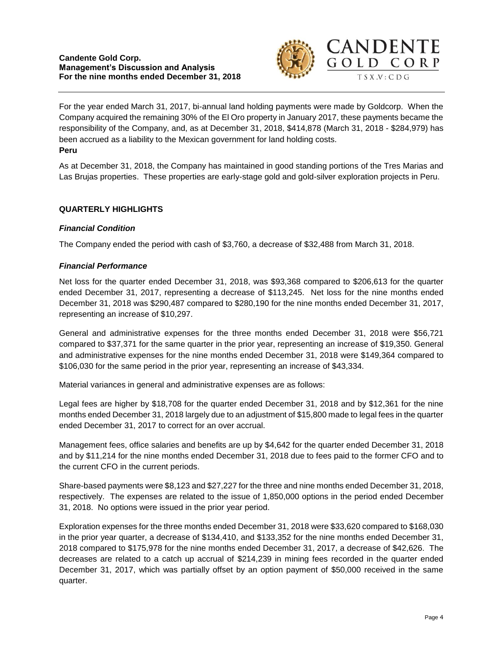## **Candente Gold Corp. Management's Discussion and Analysis For the nine months ended December 31, 2018**



For the year ended March 31, 2017, bi-annual land holding payments were made by Goldcorp. When the Company acquired the remaining 30% of the El Oro property in January 2017, these payments became the responsibility of the Company, and, as at December 31, 2018, \$414,878 (March 31, 2018 - \$284,979) has been accrued as a liability to the Mexican government for land holding costs. **Peru**

As at December 31, 2018, the Company has maintained in good standing portions of the Tres Marias and Las Brujas properties. These properties are early-stage gold and gold-silver exploration projects in Peru.

# **QUARTERLY HIGHLIGHTS**

# *Financial Condition*

The Company ended the period with cash of \$3,760, a decrease of \$32,488 from March 31, 2018.

## *Financial Performance*

Net loss for the quarter ended December 31, 2018, was \$93,368 compared to \$206,613 for the quarter ended December 31, 2017, representing a decrease of \$113,245. Net loss for the nine months ended December 31, 2018 was \$290,487 compared to \$280,190 for the nine months ended December 31, 2017, representing an increase of \$10,297.

General and administrative expenses for the three months ended December 31, 2018 were \$56,721 compared to \$37,371 for the same quarter in the prior year, representing an increase of \$19,350. General and administrative expenses for the nine months ended December 31, 2018 were \$149,364 compared to \$106,030 for the same period in the prior year, representing an increase of \$43,334.

Material variances in general and administrative expenses are as follows:

Legal fees are higher by \$18,708 for the quarter ended December 31, 2018 and by \$12,361 for the nine months ended December 31, 2018 largely due to an adjustment of \$15,800 made to legal fees in the quarter ended December 31, 2017 to correct for an over accrual.

Management fees, office salaries and benefits are up by \$4,642 for the quarter ended December 31, 2018 and by \$11,214 for the nine months ended December 31, 2018 due to fees paid to the former CFO and to the current CFO in the current periods.

Share-based payments were \$8,123 and \$27,227 for the three and nine months ended December 31, 2018, respectively. The expenses are related to the issue of 1,850,000 options in the period ended December 31, 2018. No options were issued in the prior year period.

Exploration expenses for the three months ended December 31, 2018 were \$33,620 compared to \$168,030 in the prior year quarter, a decrease of \$134,410, and \$133,352 for the nine months ended December 31, 2018 compared to \$175,978 for the nine months ended December 31, 2017, a decrease of \$42,626. The decreases are related to a catch up accrual of \$214,239 in mining fees recorded in the quarter ended December 31, 2017, which was partially offset by an option payment of \$50,000 received in the same quarter.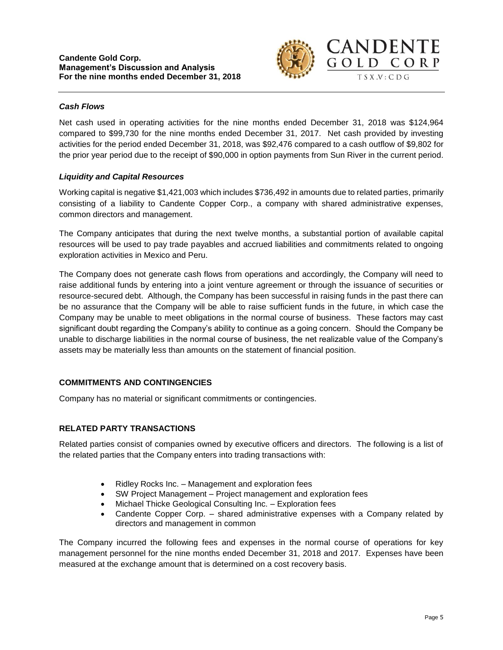

# *Cash Flows*

Net cash used in operating activities for the nine months ended December 31, 2018 was \$124,964 compared to \$99,730 for the nine months ended December 31, 2017. Net cash provided by investing activities for the period ended December 31, 2018, was \$92,476 compared to a cash outflow of \$9,802 for the prior year period due to the receipt of \$90,000 in option payments from Sun River in the current period.

## *Liquidity and Capital Resources*

Working capital is negative \$1,421,003 which includes \$736,492 in amounts due to related parties, primarily consisting of a liability to Candente Copper Corp., a company with shared administrative expenses, common directors and management.

The Company anticipates that during the next twelve months, a substantial portion of available capital resources will be used to pay trade payables and accrued liabilities and commitments related to ongoing exploration activities in Mexico and Peru.

The Company does not generate cash flows from operations and accordingly, the Company will need to raise additional funds by entering into a joint venture agreement or through the issuance of securities or resource-secured debt. Although, the Company has been successful in raising funds in the past there can be no assurance that the Company will be able to raise sufficient funds in the future, in which case the Company may be unable to meet obligations in the normal course of business. These factors may cast significant doubt regarding the Company's ability to continue as a going concern. Should the Company be unable to discharge liabilities in the normal course of business, the net realizable value of the Company's assets may be materially less than amounts on the statement of financial position.

# **COMMITMENTS AND CONTINGENCIES**

Company has no material or significant commitments or contingencies.

# **RELATED PARTY TRANSACTIONS**

Related parties consist of companies owned by executive officers and directors. The following is a list of the related parties that the Company enters into trading transactions with:

- Ridley Rocks Inc. Management and exploration fees
- SW Project Management Project management and exploration fees
- Michael Thicke Geological Consulting Inc. Exploration fees
- Candente Copper Corp. shared administrative expenses with a Company related by directors and management in common

The Company incurred the following fees and expenses in the normal course of operations for key management personnel for the nine months ended December 31, 2018 and 2017. Expenses have been measured at the exchange amount that is determined on a cost recovery basis.